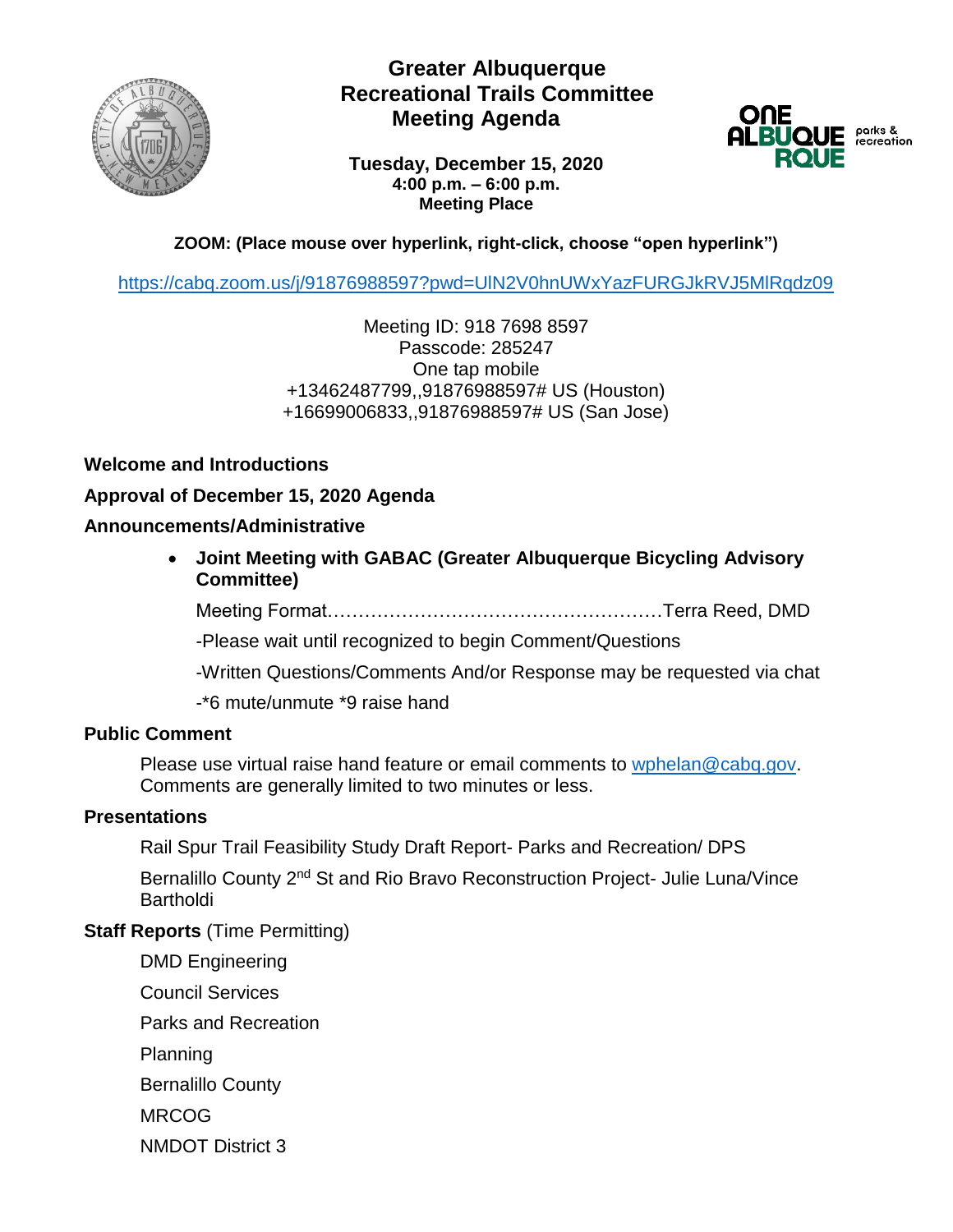

# **Greater Albuquerque Recreational Trails Committee Meeting Agenda**



**Tuesday, December 15, 2020 4:00 p.m. – 6:00 p.m. Meeting Place**

## **ZOOM: (Place mouse over hyperlink, right-click, choose "open hyperlink")**

<https://cabq.zoom.us/j/91876988597?pwd=UlN2V0hnUWxYazFURGJkRVJ5MlRqdz09>

Meeting ID: 918 7698 8597 Passcode: 285247 One tap mobile +13462487799,,91876988597# US (Houston) +16699006833,,91876988597# US (San Jose)

### **Welcome and Introductions**

**Approval of December 15, 2020 Agenda**

#### **Announcements/Administrative**

• **Joint Meeting with GABAC (Greater Albuquerque Bicycling Advisory Committee)**

Meeting Format………………………………………………Terra Reed, DMD

-Please wait until recognized to begin Comment/Questions

-Written Questions/Comments And/or Response may be requested via chat

-\*6 mute/unmute \*9 raise hand

#### **Public Comment**

Please use virtual raise hand feature or email comments to [wphelan@cabq.gov.](mailto:wphelan@cabq.gov) Comments are generally limited to two minutes or less.

#### **Presentations**

Rail Spur Trail Feasibility Study Draft Report- Parks and Recreation/ DPS

Bernalillo County 2<sup>nd</sup> St and Rio Bravo Reconstruction Project- Julie Luna/Vince **Bartholdi** 

#### **Staff Reports** (Time Permitting)

DMD Engineering

Council Services

Parks and Recreation

Planning

Bernalillo County

MRCOG

NMDOT District 3